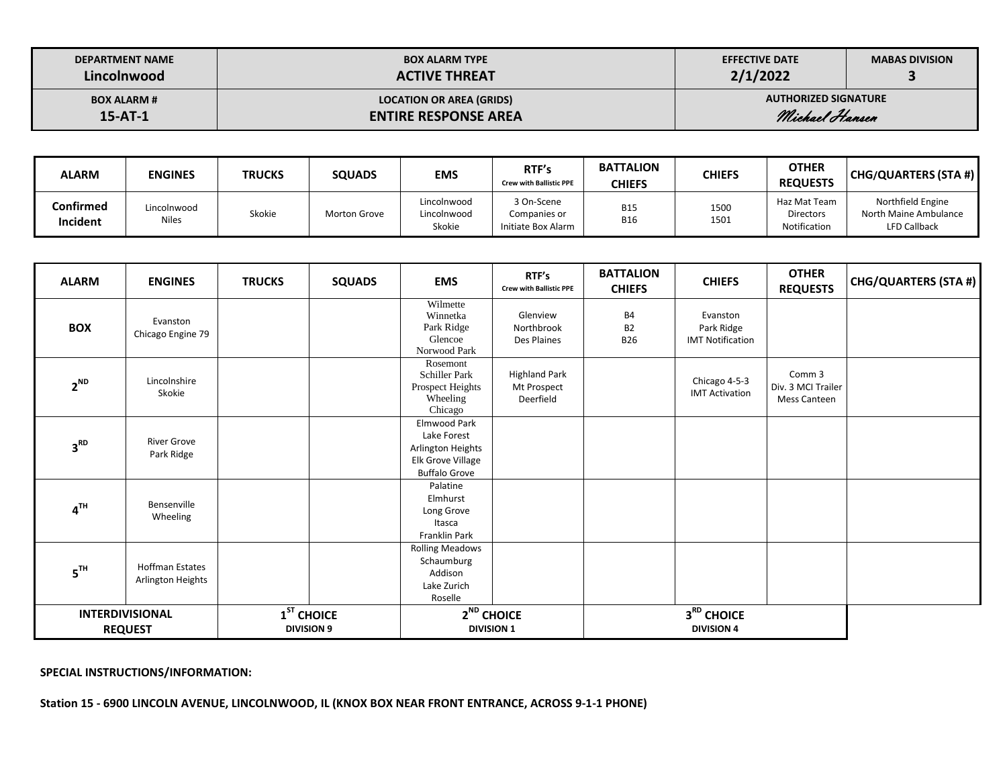| <b>DEPARTMENT NAME</b> | <b>BOX ALARM TYPE</b>           | <b>EFFECTIVE DATE</b>       | <b>MABAS DIVISION</b> |
|------------------------|---------------------------------|-----------------------------|-----------------------|
| Lincolnwood            | <b>ACTIVE THREAT</b>            | 2/1/2022                    |                       |
| <b>BOX ALARM #</b>     | <b>LOCATION OR AREA (GRIDS)</b> | <b>AUTHORIZED SIGNATURE</b> |                       |
| $15 - AT - 1$          | <b>ENTIRE RESPONSE AREA</b>     | Michael Hansen              |                       |

| <b>ALARM</b>          | <b>ENGINES</b>              | <b>TRUCKS</b> | <b>SQUADS</b>       | <b>EMS</b>                           | RTF's<br><b>Crew with Ballistic PPE</b>          | <b>BATTALION</b><br><b>CHIEFS</b> | <b>CHIEFS</b> | <b>OTHER</b><br><b>REQUESTS</b>                  | <b>CHG/QUARTERS (STA #)</b>                                       |
|-----------------------|-----------------------------|---------------|---------------------|--------------------------------------|--------------------------------------------------|-----------------------------------|---------------|--------------------------------------------------|-------------------------------------------------------------------|
| Confirmed<br>Incident | Lincolnwood<br><b>Niles</b> | Skokie        | <b>Morton Grove</b> | Lincolnwood<br>Lincolnwood<br>Skokie | 3 On-Scene<br>Companies or<br>Initiate Box Alarm | <b>B15</b><br><b>B16</b>          | 1500<br>1501  | Haz Mat Team<br><b>Directors</b><br>Notification | Northfield Engine<br>North Maine Ambulance<br><b>LFD Callback</b> |

| <b>ALARM</b>    | <b>ENGINES</b>                                                                                                        | <b>TRUCKS</b> | <b>SQUADS</b> | <b>EMS</b>                                                                                    | RTF's<br><b>Crew with Ballistic PPE</b>          | <b>BATTALION</b><br><b>CHIEFS</b>    | <b>CHIEFS</b>                                     | <b>OTHER</b><br><b>REQUESTS</b>              | CHG/QUARTERS (STA #) |
|-----------------|-----------------------------------------------------------------------------------------------------------------------|---------------|---------------|-----------------------------------------------------------------------------------------------|--------------------------------------------------|--------------------------------------|---------------------------------------------------|----------------------------------------------|----------------------|
| <b>BOX</b>      | Evanston<br>Chicago Engine 79                                                                                         |               |               | Wilmette<br>Winnetka<br>Park Ridge<br>Glencoe<br>Norwood Park                                 | Glenview<br>Northbrook<br>Des Plaines            | <b>B4</b><br><b>B2</b><br><b>B26</b> | Evanston<br>Park Ridge<br><b>IMT Notification</b> |                                              |                      |
| $2^{ND}$        | Lincolnshire<br>Skokie                                                                                                |               |               | Rosemont<br><b>Schiller Park</b><br>Prospect Heights<br>Wheeling<br>Chicago                   | <b>Highland Park</b><br>Mt Prospect<br>Deerfield |                                      | Chicago 4-5-3<br><b>IMT Activation</b>            | Comm 3<br>Div. 3 MCI Trailer<br>Mess Canteen |                      |
| 3 <sup>RD</sup> | <b>River Grove</b><br>Park Ridge                                                                                      |               |               | Elmwood Park<br>Lake Forest<br>Arlington Heights<br>Elk Grove Village<br><b>Buffalo Grove</b> |                                                  |                                      |                                                   |                                              |                      |
| $4^{TH}$        | Bensenville<br>Wheeling                                                                                               |               |               | Palatine<br>Elmhurst<br>Long Grove<br>Itasca<br>Franklin Park                                 |                                                  |                                      |                                                   |                                              |                      |
| 5 <sup>TH</sup> | <b>Hoffman Estates</b><br>Arlington Heights                                                                           |               |               | <b>Rolling Meadows</b><br>Schaumburg<br>Addison<br>Lake Zurich<br>Roselle                     |                                                  |                                      |                                                   |                                              |                      |
|                 | $2^{ND}$ CHOICE<br>$1ST$ CHOICE<br><b>INTERDIVISIONAL</b><br><b>REQUEST</b><br><b>DIVISION 9</b><br><b>DIVISION 1</b> |               |               | 3RD CHOICE<br><b>DIVISION 4</b>                                                               |                                                  |                                      |                                                   |                                              |                      |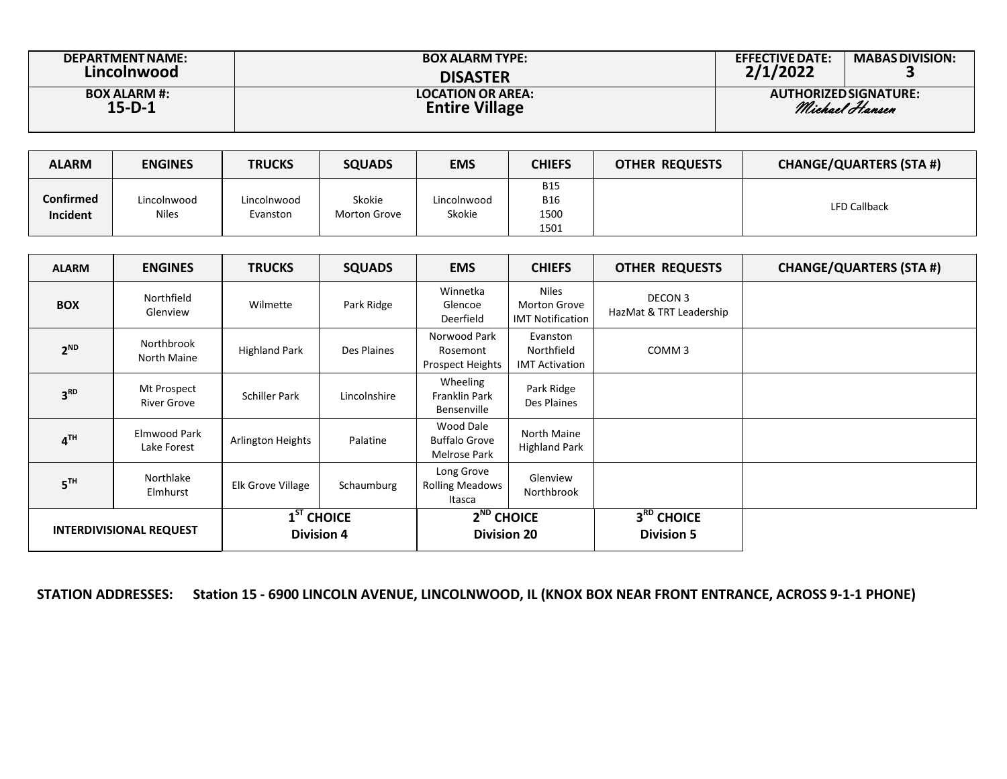| <b>DEPARTMENT NAME:</b> | <b>BOX ALARM TYPE:</b>   | <b>EFFECTIVE DATE:</b> | <b>MABAS DIVISION:</b>       |
|-------------------------|--------------------------|------------------------|------------------------------|
| Lincolnwood             | <b>DISASTER</b>          | 2/1/2022               |                              |
| <b>BOX ALARM #:</b>     | <b>LOCATION OR AREA:</b> |                        | <b>AUTHORIZED SIGNATURE:</b> |
| $15-D-1$                | <b>Entire Village</b>    |                        | Michael Hansen               |

| <b>ALARM</b>                        | <b>ENGINES</b>              | <b>TRUCKS</b>           | <b>SQUADS</b>          | <b>EMS</b>            | <b>CHIEFS</b>                            | <b>OTHER REQUESTS</b> | <b>CHANGE/QUARTERS (STA #)</b> |
|-------------------------------------|-----------------------------|-------------------------|------------------------|-----------------------|------------------------------------------|-----------------------|--------------------------------|
| <b>Confirmed</b><br><b>Incident</b> | Lincolnwood<br><b>Niles</b> | Lincolnwood<br>Evanston | Skokie<br>Morton Grove | Lincolnwood<br>Skokie | <b>B15</b><br><b>B16</b><br>1500<br>1501 |                       | <b>LFD Callback</b>            |

| <b>ALARM</b>                   | <b>ENGINES</b>                    | <b>TRUCKS</b>                     | <b>SQUADS</b> | <b>EMS</b>                                               | <b>CHIEFS</b>                                                  | <b>OTHER REQUESTS</b>                       | <b>CHANGE/QUARTERS (STA #)</b> |
|--------------------------------|-----------------------------------|-----------------------------------|---------------|----------------------------------------------------------|----------------------------------------------------------------|---------------------------------------------|--------------------------------|
| <b>BOX</b>                     | Northfield<br>Glenview            | Wilmette                          | Park Ridge    | Winnetka<br>Glencoe<br>Deerfield                         | <b>Niles</b><br><b>Morton Grove</b><br><b>IMT Notification</b> | DECON 3<br>HazMat & TRT Leadership          |                                |
| $2^{ND}$                       | Northbrook<br>North Maine         | <b>Highland Park</b>              | Des Plaines   | Norwood Park<br>Rosemont<br>Prospect Heights             | Evanston<br>Northfield<br><b>IMT Activation</b>                | COMM <sub>3</sub>                           |                                |
| 3 <sup>RD</sup>                | Mt Prospect<br><b>River Grove</b> | <b>Schiller Park</b>              | Lincolnshire  | Wheeling<br>Franklin Park<br>Bensenville                 | Park Ridge<br>Des Plaines                                      |                                             |                                |
| 4 <sup>TH</sup>                | Elmwood Park<br>Lake Forest       | <b>Arlington Heights</b>          | Palatine      | Wood Dale<br><b>Buffalo Grove</b><br><b>Melrose Park</b> | North Maine<br><b>Highland Park</b>                            |                                             |                                |
| 5 <sup>TH</sup>                | Northlake<br>Elmhurst             | Elk Grove Village                 | Schaumburg    | Long Grove<br><b>Rolling Meadows</b><br>Itasca           | Glenview<br>Northbrook                                         |                                             |                                |
| <b>INTERDIVISIONAL REQUEST</b> |                                   | $1ST$ CHOICE<br><b>Division 4</b> |               | $2^{ND}$ CHOICE<br><b>Division 20</b>                    |                                                                | 3 <sup>RD</sup> CHOICE<br><b>Division 5</b> |                                |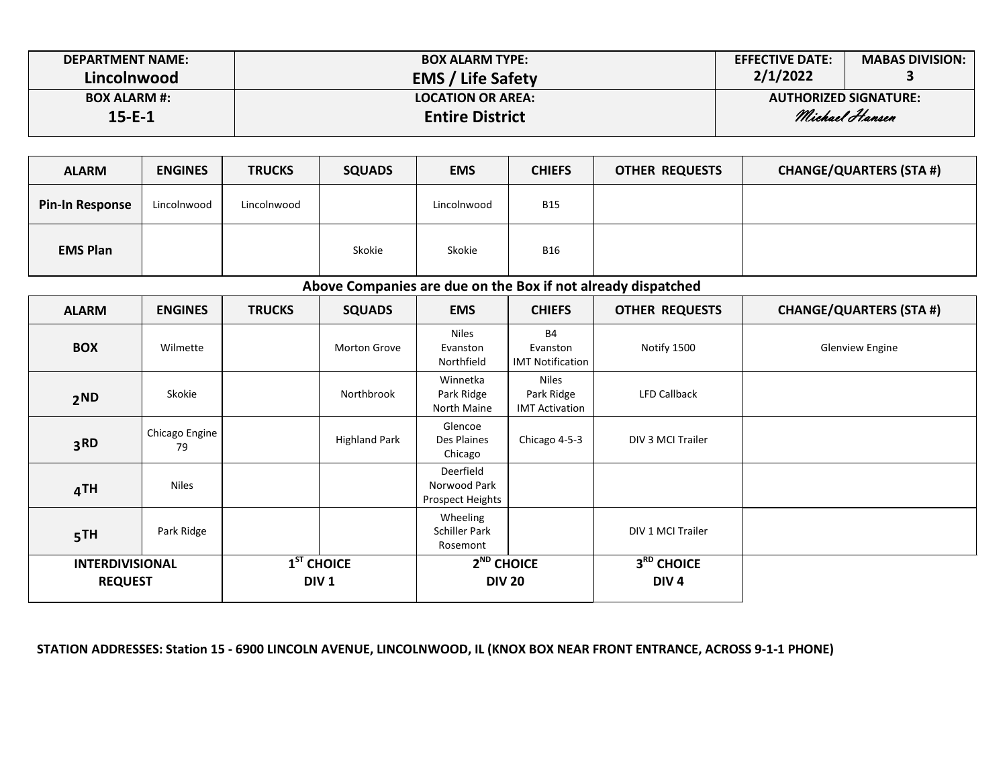| <b>DEPARTMENT NAME:</b><br>Lincolnwood | <b>BOX ALARM TYPE:</b><br><b>EMS / Life Safety</b> | <b>EFFECTIVE DATE:</b><br>2/1/2022 | <b>MABAS DIVISION:</b>       |
|----------------------------------------|----------------------------------------------------|------------------------------------|------------------------------|
| <b>BOX ALARM #:</b>                    | <b>LOCATION OR AREA:</b>                           |                                    | <b>AUTHORIZED SIGNATURE:</b> |
| 15-E-1                                 | <b>Entire District</b>                             |                                    | Michael Hansen               |

| <b>ALARM</b>           | <b>ENGINES</b> | <b>TRUCKS</b> | <b>SQUADS</b> | <b>EMS</b>  | <b>CHIEFS</b> | <b>OTHER REQUESTS</b> | <b>CHANGE/QUARTERS (STA #)</b> |
|------------------------|----------------|---------------|---------------|-------------|---------------|-----------------------|--------------------------------|
| <b>Pin-In Response</b> | Lincolnwood    | Lincolnwood   |               | Lincolnwood | <b>B15</b>    |                       |                                |
| <b>EMS Plan</b>        |                |               | Skokie        | Skokie      | <b>B16</b>    |                       |                                |

**Above Companies are due on the Box if not already dispatched**

| <b>ALARM</b>                             | <b>ENGINES</b>       | <b>TRUCKS</b> | <b>SQUADS</b>                    | <b>EMS</b>                                           | <b>CHIEFS</b>                                       | <b>OTHER REQUESTS</b>          | <b>CHANGE/QUARTERS (STA #)</b> |
|------------------------------------------|----------------------|---------------|----------------------------------|------------------------------------------------------|-----------------------------------------------------|--------------------------------|--------------------------------|
| <b>BOX</b>                               | Wilmette             |               | Morton Grove                     | <b>Niles</b><br>Evanston<br>Northfield               | <b>B4</b><br>Evanston<br><b>IMT Notification</b>    | Notify 1500                    | <b>Glenview Engine</b>         |
| 2ND                                      | Skokie               |               | Northbrook                       | Winnetka<br>Park Ridge<br><b>North Maine</b>         | <b>Niles</b><br>Park Ridge<br><b>IMT Activation</b> | <b>LFD Callback</b>            |                                |
| 3 <sub>RD</sub>                          | Chicago Engine<br>79 |               | <b>Highland Park</b>             | Glencoe<br>Des Plaines<br>Chicago                    | Chicago 4-5-3                                       | DIV 3 MCI Trailer              |                                |
| 4TH                                      | <b>Niles</b>         |               |                                  | Deerfield<br>Norwood Park<br><b>Prospect Heights</b> |                                                     |                                |                                |
| 5TH                                      | Park Ridge           |               |                                  | Wheeling<br><b>Schiller Park</b><br>Rosemont         |                                                     | DIV 1 MCI Trailer              |                                |
| <b>INTERDIVISIONAL</b><br><b>REQUEST</b> |                      |               | $1ST$ CHOICE<br>DIV <sub>1</sub> | $2ND$ CHOICE<br><b>DIV 20</b>                        |                                                     | 3RD CHOICE<br>DIV <sub>4</sub> |                                |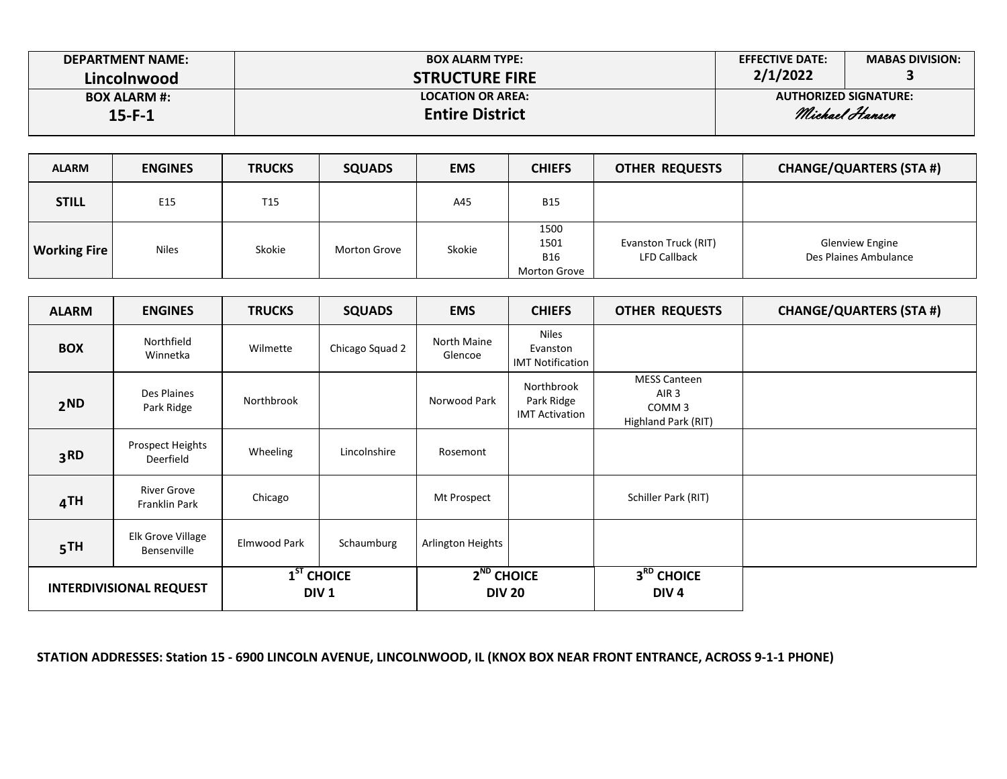| <b>DEPARTMENT NAME:</b> | <b>BOX ALARM TYPE:</b>   | <b>EFFECTIVE DATE:</b>       | <b>MABAS DIVISION:</b> |
|-------------------------|--------------------------|------------------------------|------------------------|
| Lincolnwood             | <b>STRUCTURE FIRE</b>    | 2/1/2022                     |                        |
| <b>BOX ALARM #:</b>     | <b>LOCATION OR AREA:</b> | <b>AUTHORIZED SIGNATURE:</b> |                        |
| $15 - F - 1$            | <b>Entire District</b>   |                              | Michael Hansen         |

| <b>ALARM</b>        | <b>ENGINES</b> | <b>TRUCKS</b>   | <b>SQUADS</b> | <b>EMS</b> | <b>CHIEFS</b>                              | <b>OTHER REQUESTS</b>                       | <b>CHANGE/QUARTERS (STA #)</b>                  |
|---------------------|----------------|-----------------|---------------|------------|--------------------------------------------|---------------------------------------------|-------------------------------------------------|
| <b>STILL</b>        | E15            | T <sub>15</sub> |               | A45        | <b>B15</b>                                 |                                             |                                                 |
| <b>Working Fire</b> | <b>Niles</b>   | Skokie          | Morton Grove  | Skokie     | 1500<br>1501<br><b>B16</b><br>Morton Grove | Evanston Truck (RIT)<br><b>LFD Callback</b> | <b>Glenview Engine</b><br>Des Plaines Ambulance |

| <b>ALARM</b>                   | <b>ENGINES</b>                      | <b>TRUCKS</b> | <b>SQUADS</b>                                                    | <b>EMS</b>                       | <b>CHIEFS</b>                                       | <b>OTHER REQUESTS</b>                                                               | <b>CHANGE/QUARTERS (STA #)</b> |
|--------------------------------|-------------------------------------|---------------|------------------------------------------------------------------|----------------------------------|-----------------------------------------------------|-------------------------------------------------------------------------------------|--------------------------------|
| <b>BOX</b>                     | Northfield<br>Winnetka              | Wilmette      | Chicago Squad 2                                                  | North Maine<br>Glencoe           | <b>Niles</b><br>Evanston<br><b>IMT Notification</b> |                                                                                     |                                |
| 2ND                            | Des Plaines<br>Park Ridge           | Northbrook    |                                                                  | Norwood Park                     | Northbrook<br>Park Ridge<br><b>IMT Activation</b>   | <b>MESS Canteen</b><br>AIR <sub>3</sub><br>COMM <sub>3</sub><br>Highland Park (RIT) |                                |
| 3 <sub>RD</sub>                | Prospect Heights<br>Deerfield       | Wheeling      | Lincolnshire                                                     | Rosemont                         |                                                     |                                                                                     |                                |
| 4TH                            | <b>River Grove</b><br>Franklin Park | Chicago       |                                                                  | Mt Prospect                      |                                                     | Schiller Park (RIT)                                                                 |                                |
| 5TH                            | Elk Grove Village<br>Bensenville    | Elmwood Park  | Schaumburg                                                       | Arlington Heights                |                                                     |                                                                                     |                                |
| <b>INTERDIVISIONAL REQUEST</b> |                                     |               | $\overline{\mathbf{1}}^{\mathsf{ST}}$ CHOICE<br>DIV <sub>1</sub> | $2^{ND}$ CHOICE<br><b>DIV 20</b> |                                                     | $3RD$ CHOICE<br>DIV <sub>4</sub>                                                    |                                |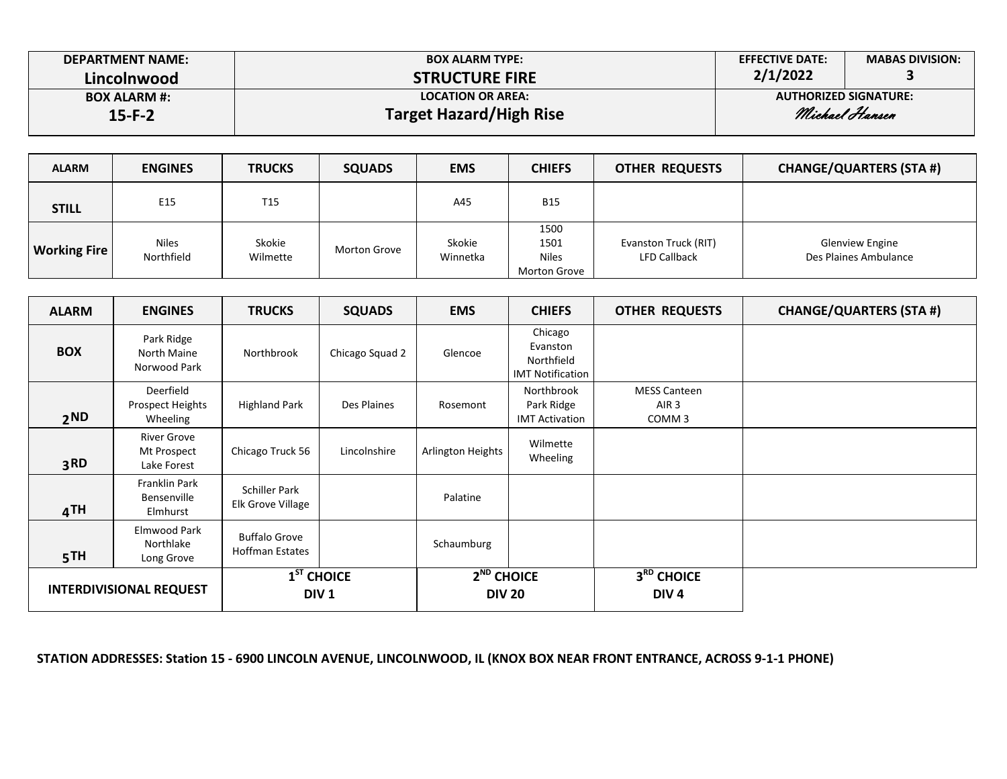| <b>DEPARTMENT NAME:</b> | <b>BOX ALARM TYPE:</b>         | <b>EFFECTIVE DATE:</b>       | <b>MABAS DIVISION:</b> |  |
|-------------------------|--------------------------------|------------------------------|------------------------|--|
| Lincolnwood             | <b>STRUCTURE FIRE</b>          | 2/1/2022                     |                        |  |
| <b>BOX ALARM #:</b>     | <b>LOCATION OR AREA:</b>       | <b>AUTHORIZED SIGNATURE:</b> |                        |  |
| $15 - F - 2$            | <b>Target Hazard/High Rise</b> | Michael Hansen               |                        |  |

| <b>ALARM</b>        | <b>ENGINES</b>             | <b>TRUCKS</b>      | <b>SQUADS</b> | <b>EMS</b>         | <b>CHIEFS</b>                                | <b>OTHER REQUESTS</b>                       | <b>CHANGE/QUARTERS (STA #)</b>                  |
|---------------------|----------------------------|--------------------|---------------|--------------------|----------------------------------------------|---------------------------------------------|-------------------------------------------------|
| <b>STILL</b>        | E <sub>15</sub>            | T15                |               | A45                | <b>B15</b>                                   |                                             |                                                 |
| <b>Working Fire</b> | <b>Niles</b><br>Northfield | Skokie<br>Wilmette | Morton Grove  | Skokie<br>Winnetka | 1500<br>1501<br><b>Niles</b><br>Morton Grove | Evanston Truck (RIT)<br><b>LFD Callback</b> | <b>Glenview Engine</b><br>Des Plaines Ambulance |

| <b>ALARM</b>                   | <b>ENGINES</b>                                   | <b>TRUCKS</b>                                  | <b>SQUADS</b>                    | <b>EMS</b>        | <b>CHIEFS</b>                                                | <b>OTHER REQUESTS</b>                                        | <b>CHANGE/QUARTERS (STA #)</b> |
|--------------------------------|--------------------------------------------------|------------------------------------------------|----------------------------------|-------------------|--------------------------------------------------------------|--------------------------------------------------------------|--------------------------------|
| <b>BOX</b>                     | Park Ridge<br>North Maine<br>Norwood Park        | Northbrook                                     | Chicago Squad 2                  | Glencoe           | Chicago<br>Evanston<br>Northfield<br><b>IMT Notification</b> |                                                              |                                |
| 2ND                            | Deerfield<br>Prospect Heights<br>Wheeling        | <b>Highland Park</b>                           | Des Plaines                      | Rosemont          | Northbrook<br>Park Ridge<br><b>IMT Activation</b>            | <b>MESS Canteen</b><br>AIR <sub>3</sub><br>COMM <sub>3</sub> |                                |
| 3 <sub>RD</sub>                | <b>River Grove</b><br>Mt Prospect<br>Lake Forest | Chicago Truck 56                               | Lincolnshire                     | Arlington Heights | Wilmette<br>Wheeling                                         |                                                              |                                |
| 4TH                            | <b>Franklin Park</b><br>Bensenville<br>Elmhurst  | Schiller Park<br>Elk Grove Village             |                                  |                   |                                                              |                                                              |                                |
| 5TH                            | Elmwood Park<br>Northlake<br>Long Grove          | <b>Buffalo Grove</b><br><b>Hoffman Estates</b> |                                  | Schaumburg        |                                                              |                                                              |                                |
| <b>INTERDIVISIONAL REQUEST</b> |                                                  |                                                | $1ST$ CHOICE<br>DIV <sub>1</sub> |                   | $2^{ND}$ CHOICE<br><b>DIV 20</b>                             | 3RD CHOICE<br>DIV <sub>4</sub>                               |                                |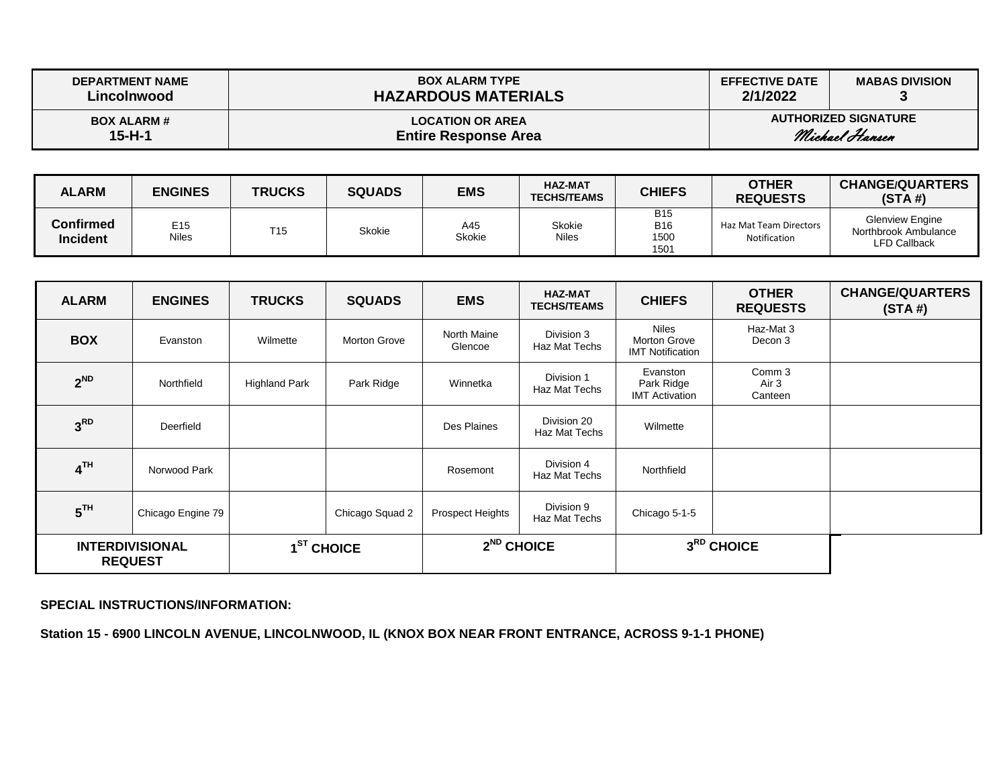| <b>DEPARTMENT NAME</b> | <b>BOX ALARM TYPE</b>       | <b>EFFECTIVE DATE</b> | <b>MABAS DIVISION</b>       |
|------------------------|-----------------------------|-----------------------|-----------------------------|
| Lincolnwood            | <b>HAZARDOUS MATERIALS</b>  | 2/1/2022              |                             |
| <b>BOX ALARM #</b>     | <b>LOCATION OR AREA</b>     |                       | <b>AUTHORIZED SIGNATURE</b> |
| $15 - H - 1$           | <b>Entire Response Area</b> |                       | Michael Hansen              |

| <b>ALARM</b>                 | <b>ENGINES</b>           | <b>TRUCKS</b>   | <b>SQUADS</b> | <b>EMS</b>    | <b>HAZ-MAT</b><br><b>TECHS/TEAMS</b> | <b>CHIEFS</b>                            | <b>OTHER</b><br><b>REQUESTS</b>        | <b>CHANGE/QUARTERS</b><br>(STA#)                                      |
|------------------------------|--------------------------|-----------------|---------------|---------------|--------------------------------------|------------------------------------------|----------------------------------------|-----------------------------------------------------------------------|
| Confirmed<br><b>Incident</b> | E <sub>15</sub><br>Niles | T <sub>15</sub> | <b>Skokie</b> | A45<br>Skokie | Skokie<br>Niles                      | <b>B15</b><br><b>B16</b><br>1500<br>1501 | Haz Mat Team Directors<br>Notification | <b>Glenview Engine</b><br>Northbrook Ambulance<br><b>LFD Callback</b> |

| <b>ALARM</b>                             | <b>ENGINES</b>    | <b>TRUCKS</b>        | <b>SQUADS</b>   | <b>EMS</b>             | <b>HAZ-MAT</b><br><b>TECHS/TEAMS</b> | <b>CHIEFS</b>                                           | <b>OTHER</b><br><b>REQUESTS</b> | <b>CHANGE/QUARTERS</b><br>(STA#) |
|------------------------------------------|-------------------|----------------------|-----------------|------------------------|--------------------------------------|---------------------------------------------------------|---------------------------------|----------------------------------|
| <b>BOX</b>                               | Evanston          | Wilmette             | Morton Grove    | North Maine<br>Glencoe | Division 3<br>Haz Mat Techs          | <b>Niles</b><br>Morton Grove<br><b>IMT Notification</b> | Haz-Mat 3<br>Decon 3            |                                  |
| $2^{ND}$                                 | Northfield        | <b>Highland Park</b> | Park Ridge      | Winnetka               | Division 1<br>Haz Mat Techs          | Evanston<br>Park Ridge<br><b>IMT Activation</b>         | Comm 3<br>Air 3<br>Canteen      |                                  |
| 3 <sup>RD</sup>                          | Deerfield         |                      |                 | Des Plaines            | Division 20<br>Haz Mat Techs         | Wilmette                                                |                                 |                                  |
| 4 <sup>TH</sup>                          | Norwood Park      |                      |                 | Rosemont               | Division 4<br>Haz Mat Techs          | Northfield                                              |                                 |                                  |
| 5 <sup>TH</sup>                          | Chicago Engine 79 |                      | Chicago Squad 2 | Prospect Heights       | Division 9<br>Haz Mat Techs          | Chicago 5-1-5                                           |                                 |                                  |
| <b>INTERDIVISIONAL</b><br><b>REQUEST</b> |                   |                      | $1ST$ CHOICE    |                        | $2^{ND}$ CHOICE                      |                                                         | 3RD CHOICE                      |                                  |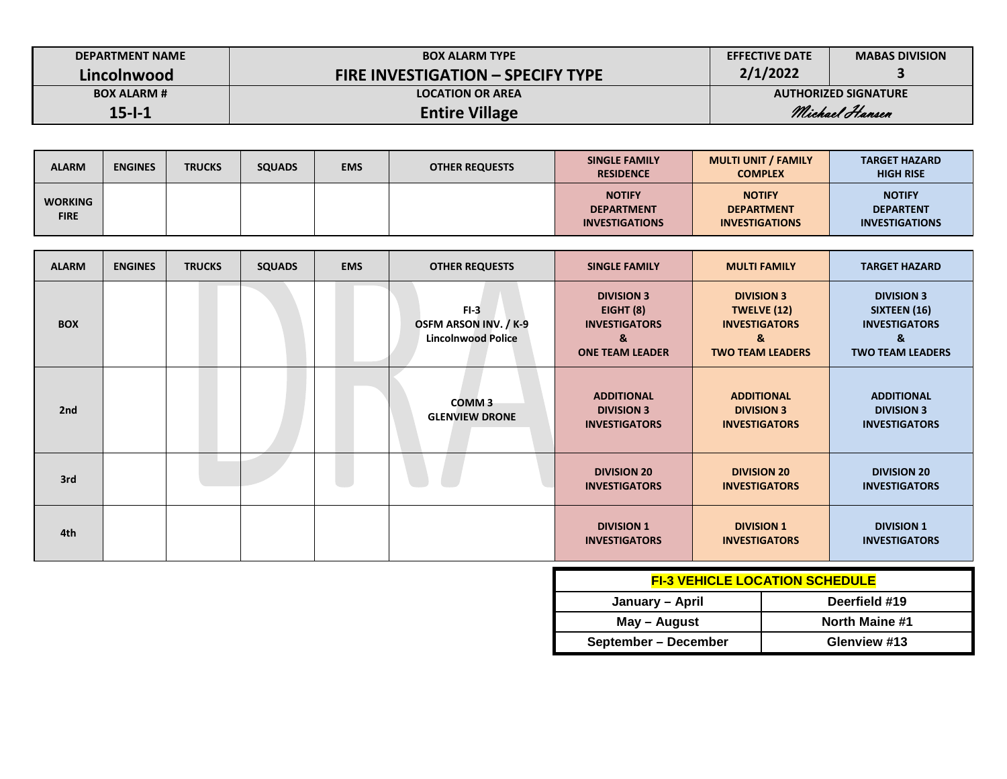| <b>DEPARTMENT NAME</b> | <b>BOX ALARM TYPE</b>                    | <b>EFFECTIVE DATE</b> | <b>MABAS DIVISION</b>       |  |
|------------------------|------------------------------------------|-----------------------|-----------------------------|--|
| Lincolnwood            | <b>FIRE INVESTIGATION - SPECIFY TYPE</b> | 2/1/2022              |                             |  |
| <b>BOX ALARM #</b>     | <b>LOCATION OR AREA</b>                  |                       | <b>AUTHORIZED SIGNATURE</b> |  |
| $15 - 1 - 1$           | <b>Entire Village</b>                    | Michael Hansen        |                             |  |

| <b>ALARM</b>                  | <b>ENGINES</b> | <b>TRUCKS</b> | <b>SQUADS</b> | <b>EMS</b> | <b>OTHER REQUESTS</b> | <b>SINGLE FAMILY</b><br><b>RESIDENCE</b>                    | <b>MULTI UNIT / FAMILY</b><br><b>COMPLEX</b>                | <b>TARGET HAZARD</b><br><b>HIGH RISE</b>                   |
|-------------------------------|----------------|---------------|---------------|------------|-----------------------|-------------------------------------------------------------|-------------------------------------------------------------|------------------------------------------------------------|
| <b>WORKING</b><br><b>FIRE</b> |                |               |               |            |                       | <b>NOTIFY</b><br><b>DEPARTMENT</b><br><b>INVESTIGATIONS</b> | <b>NOTIFY</b><br><b>DEPARTMENT</b><br><b>INVESTIGATIONS</b> | <b>NOTIFY</b><br><b>DEPARTENT</b><br><b>INVESTIGATIONS</b> |

| <b>ALARM</b> | <b>ENGINES</b> | <b>TRUCKS</b> | <b>SQUADS</b> | <b>EMS</b> | <b>OTHER REQUESTS</b>                                               | <b>SINGLE FAMILY</b>                                                                  | <b>MULTI FAMILY</b>                                                                      | <b>TARGET HAZARD</b>                                                                      |
|--------------|----------------|---------------|---------------|------------|---------------------------------------------------------------------|---------------------------------------------------------------------------------------|------------------------------------------------------------------------------------------|-------------------------------------------------------------------------------------------|
| <b>BOX</b>   |                |               |               |            | $FI-3$<br><b>OSFM ARSON INV. / K-9</b><br><b>Lincolnwood Police</b> | <b>DIVISION 3</b><br>EIGHT (8)<br><b>INVESTIGATORS</b><br>&<br><b>ONE TEAM LEADER</b> | <b>DIVISION 3</b><br>TWELVE (12)<br><b>INVESTIGATORS</b><br>&<br><b>TWO TEAM LEADERS</b> | <b>DIVISION 3</b><br>SIXTEEN (16)<br><b>INVESTIGATORS</b><br>&<br><b>TWO TEAM LEADERS</b> |
| 2nd          |                |               |               |            | <b>COMM3</b><br><b>GLENVIEW DRONE</b>                               | <b>ADDITIONAL</b><br><b>DIVISION 3</b><br><b>INVESTIGATORS</b>                        | <b>ADDITIONAL</b><br><b>DIVISION 3</b><br><b>INVESTIGATORS</b>                           | <b>ADDITIONAL</b><br><b>DIVISION 3</b><br><b>INVESTIGATORS</b>                            |
| 3rd          |                |               |               |            |                                                                     | <b>DIVISION 20</b><br><b>INVESTIGATORS</b>                                            | <b>DIVISION 20</b><br><b>INVESTIGATORS</b>                                               | <b>DIVISION 20</b><br><b>INVESTIGATORS</b>                                                |
| 4th          |                |               |               |            |                                                                     | <b>DIVISION 1</b><br><b>INVESTIGATORS</b>                                             | <b>DIVISION 1</b><br><b>INVESTIGATORS</b>                                                | <b>DIVISION 1</b><br><b>INVESTIGATORS</b>                                                 |

| <b>FI-3 VEHICLE LOCATION SCHEDULE</b> |                |  |  |  |  |  |  |
|---------------------------------------|----------------|--|--|--|--|--|--|
| January - April                       | Deerfield #19  |  |  |  |  |  |  |
| May - August                          | North Maine #1 |  |  |  |  |  |  |
| September – December                  | Glenview #13   |  |  |  |  |  |  |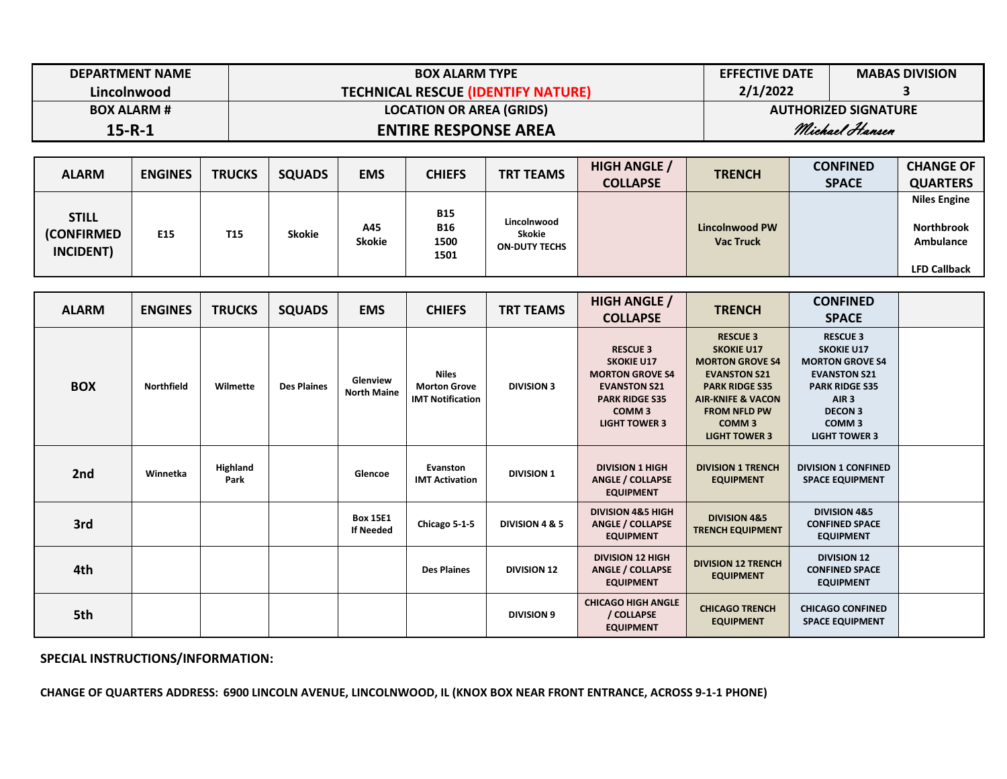| <b>DEPARTMENT NAME</b> | <b>BOX ALARM TYPE</b>              | <b>EFFECTIVE DATE</b>       | <b>MABAS DIVISION</b> |  |
|------------------------|------------------------------------|-----------------------------|-----------------------|--|
| Lincolnwood            | TECHNICAL RESCUE (IDENTIFY NATURE) | 2/1/2022                    |                       |  |
| <b>BOX ALARM #</b>     | <b>LOCATION OR AREA (GRIDS)</b>    | <b>AUTHORIZED SIGNATURE</b> |                       |  |
| $15 - R - 1$           | <b>ENTIRE RESPONSE AREA</b>        | Michael Hansen              |                       |  |

| <b>ALARM</b>                                    | <b>ENGINES</b>  | <b>TRUCKS</b>   | <b>SQUADS</b> | <b>EMS</b>           | <b>CHIEFS</b>                            | <b>TRT TEAMS</b>                              | <b>HIGH ANGLE /</b> | <b>TRENCH</b>                             | <b>CONFINED</b> | <b>CHANGE OF</b>                                      |
|-------------------------------------------------|-----------------|-----------------|---------------|----------------------|------------------------------------------|-----------------------------------------------|---------------------|-------------------------------------------|-----------------|-------------------------------------------------------|
|                                                 |                 |                 |               |                      |                                          |                                               | <b>COLLAPSE</b>     |                                           | <b>SPACE</b>    | <b>QUARTERS</b>                                       |
| <b>STILL</b><br><b>(CONFIRMED)</b><br>INCIDENT) | E <sub>15</sub> | T <sub>15</sub> | <b>Skokie</b> | A45<br><b>Skokie</b> | <b>B15</b><br><b>B16</b><br>1500<br>1501 | Lincolnwood<br>Skokie<br><b>ON-DUTY TECHS</b> |                     | <b>Lincolnwood PW</b><br><b>Vac Truck</b> |                 | <b>Niles Engine</b><br><b>Northbrook</b><br>Ambulance |
|                                                 |                 |                 |               |                      |                                          |                                               |                     |                                           |                 | <b>LFD Callback</b>                                   |

| <b>ALARM</b> | <b>ENGINES</b>    | <b>TRUCKS</b>    | <b>SQUADS</b>      | <b>EMS</b>                          | <b>CHIEFS</b>                                                  | <b>TRT TEAMS</b>   | <b>HIGH ANGLE /</b>                                                                                                                                         | <b>TRENCH</b>                                                                                                                                                                                                      | <b>CONFINED</b>                                                                                                                                                                                   |  |
|--------------|-------------------|------------------|--------------------|-------------------------------------|----------------------------------------------------------------|--------------------|-------------------------------------------------------------------------------------------------------------------------------------------------------------|--------------------------------------------------------------------------------------------------------------------------------------------------------------------------------------------------------------------|---------------------------------------------------------------------------------------------------------------------------------------------------------------------------------------------------|--|
|              |                   |                  |                    |                                     |                                                                |                    | <b>COLLAPSE</b>                                                                                                                                             |                                                                                                                                                                                                                    | <b>SPACE</b>                                                                                                                                                                                      |  |
| <b>BOX</b>   | <b>Northfield</b> | Wilmette         | <b>Des Plaines</b> | Glenview<br><b>North Maine</b>      | <b>Niles</b><br><b>Morton Grove</b><br><b>IMT Notification</b> | <b>DIVISION 3</b>  | <b>RESCUE 3</b><br><b>SKOKIE U17</b><br><b>MORTON GROVE S4</b><br><b>EVANSTON S21</b><br><b>PARK RIDGE S35</b><br>COMM <sub>3</sub><br><b>LIGHT TOWER 3</b> | <b>RESCUE 3</b><br><b>SKOKIE U17</b><br><b>MORTON GROVE S4</b><br><b>EVANSTON S21</b><br><b>PARK RIDGE S35</b><br><b>AIR-KNIFE &amp; VACON</b><br><b>FROM NFLD PW</b><br>COMM <sub>3</sub><br><b>LIGHT TOWER 3</b> | <b>RESCUE 3</b><br><b>SKOKIE U17</b><br><b>MORTON GROVE S4</b><br><b>EVANSTON S21</b><br><b>PARK RIDGE S35</b><br>AIR <sub>3</sub><br><b>DECON 3</b><br>COMM <sub>3</sub><br><b>LIGHT TOWER 3</b> |  |
| 2nd          | Winnetka          | Highland<br>Park |                    | Glencoe                             | Evanston<br><b>IMT Activation</b>                              | <b>DIVISION 1</b>  | <b>DIVISION 1 HIGH</b><br><b>ANGLE / COLLAPSE</b><br><b>EQUIPMENT</b>                                                                                       | <b>DIVISION 1 TRENCH</b><br><b>EQUIPMENT</b>                                                                                                                                                                       | <b>DIVISION 1 CONFINED</b><br><b>SPACE EQUIPMENT</b>                                                                                                                                              |  |
| 3rd          |                   |                  |                    | <b>Box 15E1</b><br><b>If Needed</b> | Chicago 5-1-5                                                  | DIVISION 4 & 5     | <b>DIVISION 4&amp;5 HIGH</b><br><b>ANGLE / COLLAPSE</b><br><b>EQUIPMENT</b>                                                                                 | <b>DIVISION 4&amp;5</b><br><b>TRENCH EQUIPMENT</b>                                                                                                                                                                 | <b>DIVISION 4&amp;5</b><br><b>CONFINED SPACE</b><br><b>EQUIPMENT</b>                                                                                                                              |  |
| 4th          |                   |                  |                    |                                     | <b>Des Plaines</b>                                             | <b>DIVISION 12</b> | <b>DIVISION 12 HIGH</b><br><b>ANGLE / COLLAPSE</b><br><b>EQUIPMENT</b>                                                                                      | <b>DIVISION 12 TRENCH</b><br><b>EQUIPMENT</b>                                                                                                                                                                      | <b>DIVISION 12</b><br><b>CONFINED SPACE</b><br><b>EQUIPMENT</b>                                                                                                                                   |  |
| 5th          |                   |                  |                    |                                     |                                                                | <b>DIVISION 9</b>  | <b>CHICAGO HIGH ANGLE</b><br>/ COLLAPSE<br><b>EQUIPMENT</b>                                                                                                 | <b>CHICAGO TRENCH</b><br><b>EQUIPMENT</b>                                                                                                                                                                          | <b>CHICAGO CONFINED</b><br><b>SPACE EQUIPMENT</b>                                                                                                                                                 |  |

**CHANGE OF QUARTERS ADDRESS: 6900 LINCOLN AVENUE, LINCOLNWOOD, IL (KNOX BOX NEAR FRONT ENTRANCE, ACROSS 9-1-1 PHONE)**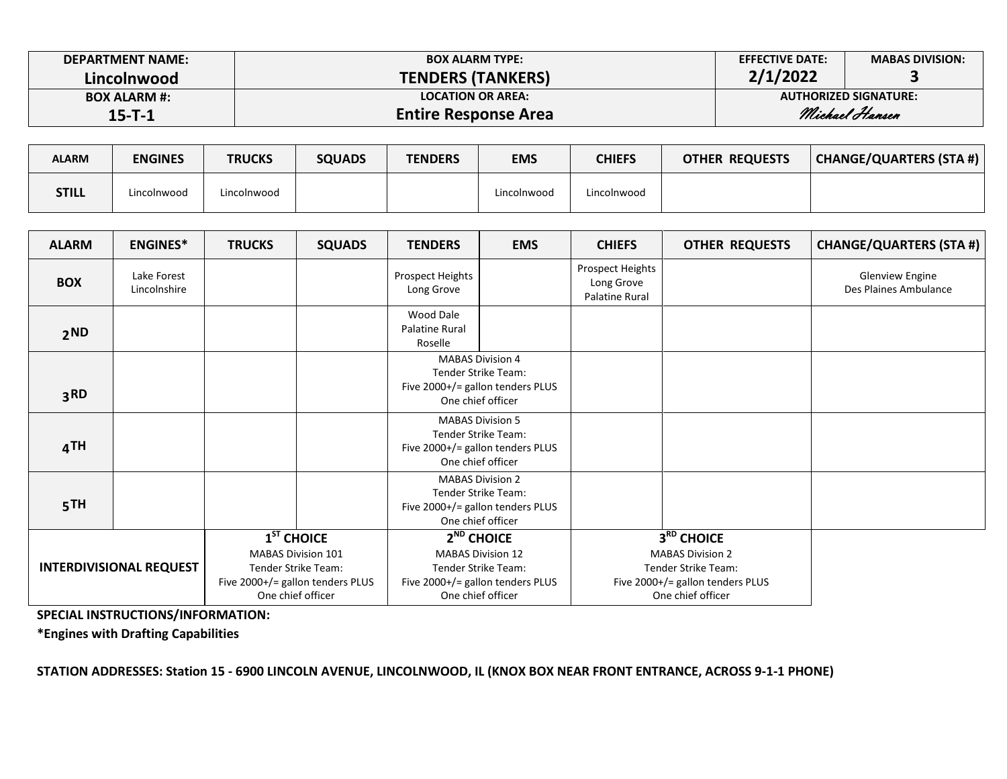| <b>DEPARTMENT NAME:</b> | <b>BOX ALARM TYPE:</b>      | <b>EFFECTIVE DATE:</b> | <b>MABAS DIVISION:</b>       |  |
|-------------------------|-----------------------------|------------------------|------------------------------|--|
| Lincolnwood             | <b>TENDERS (TANKERS)</b>    | 2/1/2022               |                              |  |
| <b>BOX ALARM #:</b>     | <b>LOCATION OR AREA:</b>    |                        | <b>AUTHORIZED SIGNATURE:</b> |  |
| $15 - T - 1$            | <b>Entire Response Area</b> | Michael Hansen         |                              |  |

| <b>ALARM</b> | <b>ENGINES</b> | <b>TRUCKS</b> | <b>SQUADS</b> | <b>TENDERS</b> | <b>EMS</b>  | CHIEFS      | <b>OTHER REQUESTS</b> | CHANGE/QUARTERS (STA #) |
|--------------|----------------|---------------|---------------|----------------|-------------|-------------|-----------------------|-------------------------|
| <b>STILL</b> | Lincolnwood    | Lincolnwood   |               |                | Lincolnwood | Lincolnwood |                       |                         |

| <b>ALARM</b>                   | <b>ENGINES*</b>             | <b>TRUCKS</b> | <b>SQUADS</b>                                                                                                             | <b>TENDERS</b>                                                                                          | <b>EMS</b>                                                                                                               | <b>CHIEFS</b>                                                                                                         | <b>OTHER REQUESTS</b> | <b>CHANGE/QUARTERS (STA #)</b>                  |
|--------------------------------|-----------------------------|---------------|---------------------------------------------------------------------------------------------------------------------------|---------------------------------------------------------------------------------------------------------|--------------------------------------------------------------------------------------------------------------------------|-----------------------------------------------------------------------------------------------------------------------|-----------------------|-------------------------------------------------|
| <b>BOX</b>                     | Lake Forest<br>Lincolnshire |               |                                                                                                                           | Prospect Heights<br>Long Grove                                                                          |                                                                                                                          | <b>Prospect Heights</b><br>Long Grove<br>Palatine Rural                                                               |                       | <b>Glenview Engine</b><br>Des Plaines Ambulance |
| 2 <sub>ND</sub>                |                             |               |                                                                                                                           | <b>Wood Dale</b><br>Palatine Rural<br>Roselle                                                           |                                                                                                                          |                                                                                                                       |                       |                                                 |
|                                |                             |               |                                                                                                                           |                                                                                                         | <b>MABAS Division 4</b>                                                                                                  |                                                                                                                       |                       |                                                 |
| 3 <sub>RD</sub>                |                             |               |                                                                                                                           | Tender Strike Team:<br>Five 2000+/= gallon tenders PLUS<br>One chief officer                            |                                                                                                                          |                                                                                                                       |                       |                                                 |
| 4TH                            |                             |               |                                                                                                                           | <b>MABAS Division 5</b><br>Tender Strike Team:<br>Five 2000+/= gallon tenders PLUS<br>One chief officer |                                                                                                                          |                                                                                                                       |                       |                                                 |
| 5TH                            |                             |               |                                                                                                                           | <b>MABAS Division 2</b><br>Tender Strike Team:<br>Five 2000+/= gallon tenders PLUS<br>One chief officer |                                                                                                                          |                                                                                                                       |                       |                                                 |
| <b>INTERDIVISIONAL REQUEST</b> |                             |               | $1ST$ CHOICE<br><b>MABAS Division 101</b><br>Tender Strike Team:<br>Five 2000+/= gallon tenders PLUS<br>One chief officer |                                                                                                         | $2ND$ CHOICE<br><b>MABAS Division 12</b><br>Tender Strike Team:<br>Five 2000+/= gallon tenders PLUS<br>One chief officer | 3RD CHOICE<br><b>MABAS Division 2</b><br>Tender Strike Team:<br>Five 2000+/= gallon tenders PLUS<br>One chief officer |                       |                                                 |

**\*Engines with Drafting Capabilities**